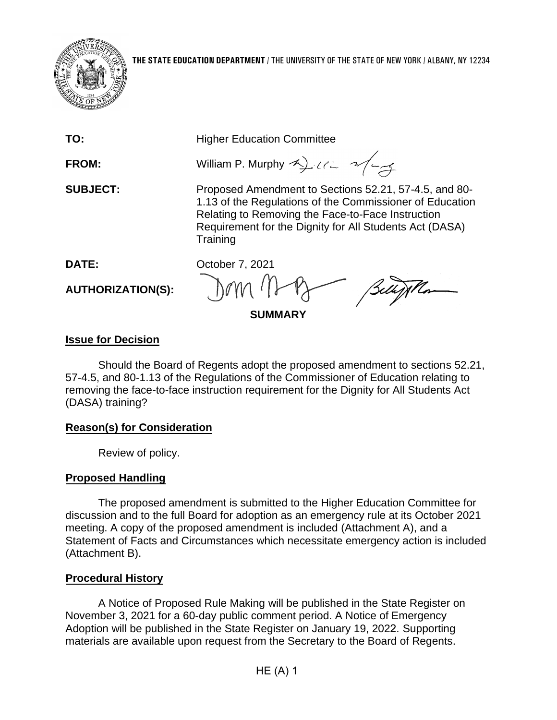

| TO:                      | <b>Higher Education Committee</b>                                                                                                                                                                                                             |
|--------------------------|-----------------------------------------------------------------------------------------------------------------------------------------------------------------------------------------------------------------------------------------------|
| <b>FROM:</b>             | William P. Murphy 2) 112 2/27                                                                                                                                                                                                                 |
| <b>SUBJECT:</b>          | Proposed Amendment to Sections 52.21, 57-4.5, and 80-<br>1.13 of the Regulations of the Commissioner of Education<br>Relating to Removing the Face-to-Face Instruction<br>Requirement for the Dignity for All Students Act (DASA)<br>Training |
| DATE:                    | October 7, 2021                                                                                                                                                                                                                               |
| <b>AUTHORIZATION(S):</b> | Dom May Bellythan                                                                                                                                                                                                                             |
|                          |                                                                                                                                                                                                                                               |

**SUMMARY**

# **Issue for Decision**

Should the Board of Regents adopt the proposed amendment to sections 52.21, 57-4.5, and 80-1.13 of the Regulations of the Commissioner of Education relating to removing the face-to-face instruction requirement for the Dignity for All Students Act (DASA) training?

# **Reason(s) for Consideration**

Review of policy.

# **Proposed Handling**

The proposed amendment is submitted to the Higher Education Committee for discussion and to the full Board for adoption as an emergency rule at its October 2021 meeting. A copy of the proposed amendment is included (Attachment A), and a Statement of Facts and Circumstances which necessitate emergency action is included (Attachment B).

# **Procedural History**

A Notice of Proposed Rule Making will be published in the State Register on November 3, 2021 for a 60-day public comment period. A Notice of Emergency Adoption will be published in the State Register on January 19, 2022. Supporting materials are available upon request from the Secretary to the Board of Regents.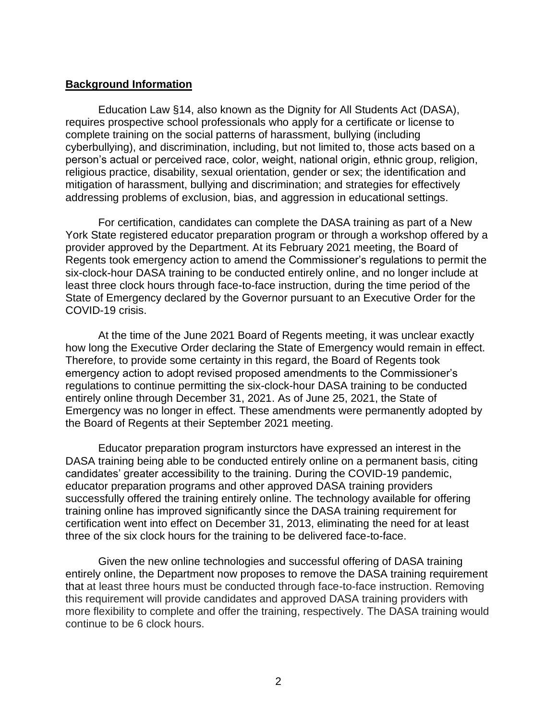#### **Background Information**

Education Law §14, also known as the Dignity for All Students Act (DASA), requires prospective school professionals who apply for a certificate or license to complete training on the social patterns of harassment, bullying (including cyberbullying), and discrimination, including, but not limited to, those acts based on a person's actual or perceived race, color, weight, national origin, ethnic group, religion, religious practice, disability, sexual orientation, gender or sex; the identification and mitigation of harassment, bullying and discrimination; and strategies for effectively addressing problems of exclusion, bias, and aggression in educational settings.

For certification, candidates can complete the DASA training as part of a New York State registered educator preparation program or through a workshop offered by a provider approved by the Department. At its February 2021 meeting, the Board of Regents took emergency action to amend the Commissioner's regulations to permit the six-clock-hour DASA training to be conducted entirely online, and no longer include at least three clock hours through face-to-face instruction, during the time period of the State of Emergency declared by the Governor pursuant to an Executive Order for the COVID-19 crisis.

At the time of the June 2021 Board of Regents meeting, it was unclear exactly how long the Executive Order declaring the State of Emergency would remain in effect. Therefore, to provide some certainty in this regard, the Board of Regents took emergency action to adopt revised proposed amendments to the Commissioner's regulations to continue permitting the six-clock-hour DASA training to be conducted entirely online through December 31, 2021. As of June 25, 2021, the State of Emergency was no longer in effect. These amendments were permanently adopted by the Board of Regents at their September 2021 meeting.

Educator preparation program insturctors have expressed an interest in the DASA training being able to be conducted entirely online on a permanent basis, citing candidates' greater accessibility to the training. During the COVID-19 pandemic, educator preparation programs and other approved DASA training providers successfully offered the training entirely online. The technology available for offering training online has improved significantly since the DASA training requirement for certification went into effect on December 31, 2013, eliminating the need for at least three of the six clock hours for the training to be delivered face-to-face.

Given the new online technologies and successful offering of DASA training entirely online, the Department now proposes to remove the DASA training requirement that at least three hours must be conducted through face-to-face instruction. Removing this requirement will provide candidates and approved DASA training providers with more flexibility to complete and offer the training, respectively. The DASA training would continue to be 6 clock hours.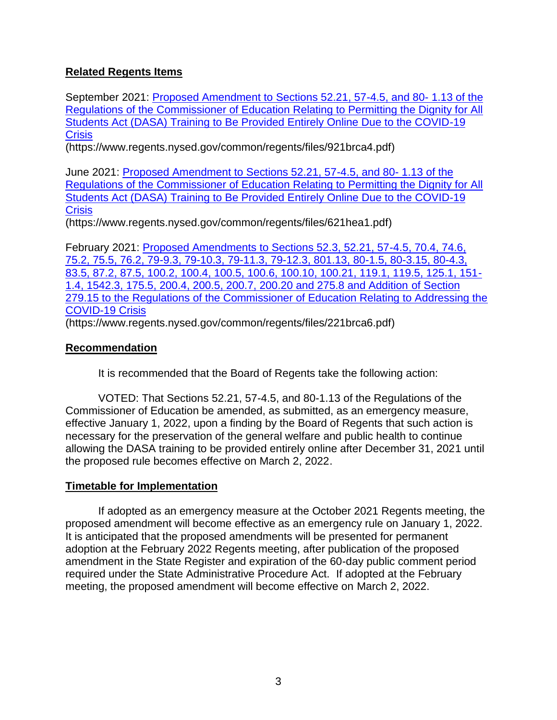# **Related Regents Items**

September 2021: [Proposed Amendment to Sections 52.21, 57-4.5, and 80-](https://www.regents.nysed.gov/common/regents/files/921brca4.pdf) 1.13 of the [Regulations of the Commissioner of Education Relating to Permitting the Dignity for All](https://www.regents.nysed.gov/common/regents/files/921brca4.pdf)  [Students Act \(DASA\) Training to Be Provided Entirely Online Due to the COVID-19](https://www.regents.nysed.gov/common/regents/files/921brca4.pdf)  **[Crisis](https://www.regents.nysed.gov/common/regents/files/921brca4.pdf)** 

(https://www.regents.nysed.gov/common/regents/files/921brca4.pdf)

June 2021: [Proposed Amendment to Sections 52.21, 57-4.5, and 80-](https://www.regents.nysed.gov/common/regents/files/621hea1.pdf) 1.13 of the [Regulations of the Commissioner of Education Relating to Permitting the Dignity for All](https://www.regents.nysed.gov/common/regents/files/621hea1.pdf)  [Students Act \(DASA\) Training to Be Provided Entirely Online Due to the COVID-19](https://www.regents.nysed.gov/common/regents/files/621hea1.pdf)  **[Crisis](https://www.regents.nysed.gov/common/regents/files/621hea1.pdf)** 

(https://www.regents.nysed.gov/common/regents/files/621hea1.pdf)

February 2021: [Proposed Amendments to Sections 52.3, 52.21, 57-4.5, 70.4, 74.6,](https://www.regents.nysed.gov/common/regents/files/221brca6.pdf)  [75.2, 75.5, 76.2, 79-9.3, 79-10.3, 79-11.3, 79-12.3, 801.13, 80-1.5, 80-3.15, 80-4.3,](https://www.regents.nysed.gov/common/regents/files/221brca6.pdf)  [83.5, 87.2, 87.5, 100.2, 100.4, 100.5, 100.6, 100.10, 100.21, 119.1, 119.5, 125.1, 151-](https://www.regents.nysed.gov/common/regents/files/221brca6.pdf) [1.4, 1542.3, 175.5, 200.4, 200.5, 200.7, 200.20 and 275.8 and Addition of Section](https://www.regents.nysed.gov/common/regents/files/221brca6.pdf)  [279.15 to the Regulations of the Commissioner of Education Relating to Addressing the](https://www.regents.nysed.gov/common/regents/files/221brca6.pdf)  [COVID-19 Crisis](https://www.regents.nysed.gov/common/regents/files/221brca6.pdf)

(https://www.regents.nysed.gov/common/regents/files/221brca6.pdf)

## **Recommendation**

It is recommended that the Board of Regents take the following action:

VOTED: That Sections 52.21, 57-4.5, and 80-1.13 of the Regulations of the Commissioner of Education be amended, as submitted, as an emergency measure, effective January 1, 2022, upon a finding by the Board of Regents that such action is necessary for the preservation of the general welfare and public health to continue allowing the DASA training to be provided entirely online after December 31, 2021 until the proposed rule becomes effective on March 2, 2022.

### **Timetable for Implementation**

If adopted as an emergency measure at the October 2021 Regents meeting, the proposed amendment will become effective as an emergency rule on January 1, 2022. It is anticipated that the proposed amendments will be presented for permanent adoption at the February 2022 Regents meeting, after publication of the proposed amendment in the State Register and expiration of the 60-day public comment period required under the State Administrative Procedure Act. If adopted at the February meeting, the proposed amendment will become effective on March 2, 2022.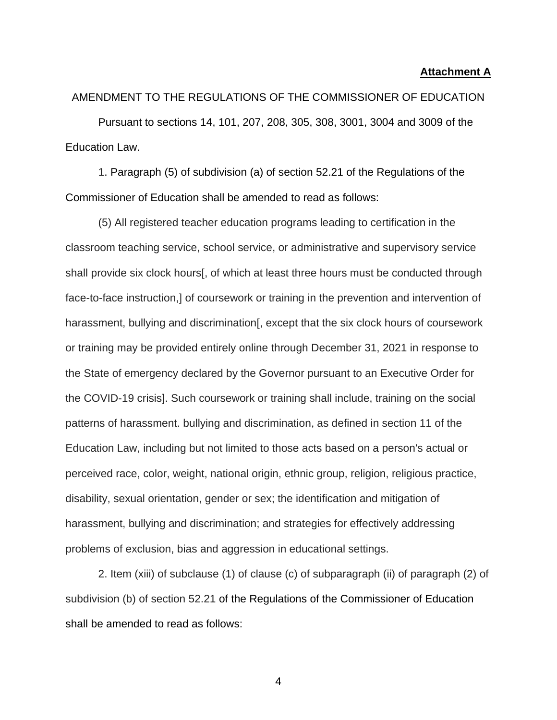#### **Attachment A**

AMENDMENT TO THE REGULATIONS OF THE COMMISSIONER OF EDUCATION Pursuant to sections 14, 101, 207, 208, 305, 308, 3001, 3004 and 3009 of the Education Law.

1. Paragraph (5) of subdivision (a) of section 52.21 of the Regulations of the Commissioner of Education shall be amended to read as follows:

(5) All registered teacher education programs leading to certification in the classroom teaching service, school service, or administrative and supervisory service shall provide six clock hours[, of which at least three hours must be conducted through face-to-face instruction,] of coursework or training in the prevention and intervention of harassment, bullying and discrimination [, except that the six clock hours of coursework or training may be provided entirely online through December 31, 2021 in response to the State of emergency declared by the Governor pursuant to an Executive Order for the COVID-19 crisis]. Such coursework or training shall include, training on the social patterns of harassment. bullying and discrimination, as defined in section 11 of the Education Law, including but not limited to those acts based on a person's actual or perceived race, color, weight, national origin, ethnic group, religion, religious practice, disability, sexual orientation, gender or sex; the identification and mitigation of harassment, bullying and discrimination; and strategies for effectively addressing problems of exclusion, bias and aggression in educational settings.

2. Item (xiii) of subclause (1) of clause (c) of subparagraph (ii) of paragraph (2) of subdivision (b) of section 52.21 of the Regulations of the Commissioner of Education shall be amended to read as follows: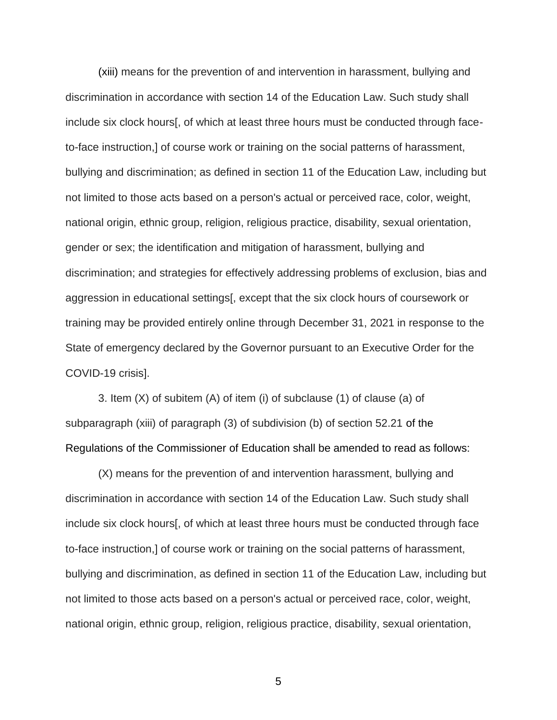(xiii) means for the prevention of and intervention in harassment, bullying and discrimination in accordance with section 14 of the Education Law. Such study shall include six clock hours[, of which at least three hours must be conducted through faceto-face instruction,] of course work or training on the social patterns of harassment, bullying and discrimination; as defined in section 11 of the Education Law, including but not limited to those acts based on a person's actual or perceived race, color, weight, national origin, ethnic group, religion, religious practice, disability, sexual orientation, gender or sex; the identification and mitigation of harassment, bullying and discrimination; and strategies for effectively addressing problems of exclusion, bias and aggression in educational settings[, except that the six clock hours of coursework or training may be provided entirely online through December 31, 2021 in response to the State of emergency declared by the Governor pursuant to an Executive Order for the COVID-19 crisis].

3. Item (X) of subitem (A) of item (i) of subclause (1) of clause (a) of subparagraph (xiii) of paragraph (3) of subdivision (b) of section 52.21 of the Regulations of the Commissioner of Education shall be amended to read as follows:

(X) means for the prevention of and intervention harassment, bullying and discrimination in accordance with section 14 of the Education Law. Such study shall include six clock hours[, of which at least three hours must be conducted through face to-face instruction,] of course work or training on the social patterns of harassment, bullying and discrimination, as defined in section 11 of the Education Law, including but not limited to those acts based on a person's actual or perceived race, color, weight, national origin, ethnic group, religion, religious practice, disability, sexual orientation,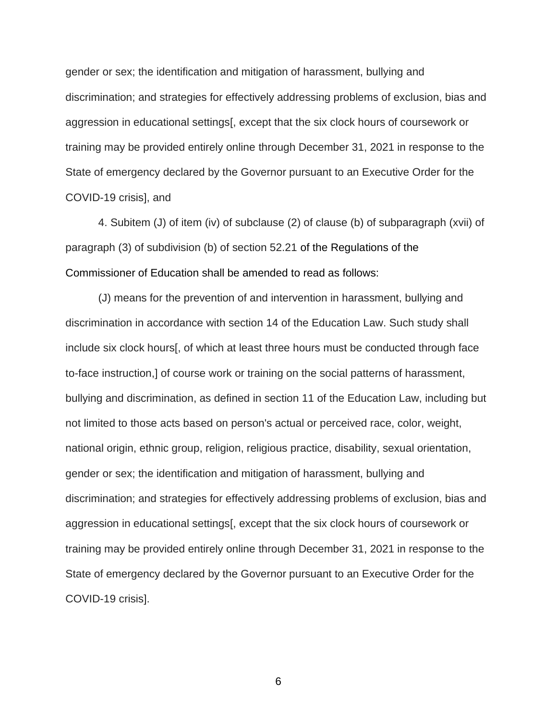gender or sex; the identification and mitigation of harassment, bullying and discrimination; and strategies for effectively addressing problems of exclusion, bias and aggression in educational settings[, except that the six clock hours of coursework or training may be provided entirely online through December 31, 2021 in response to the State of emergency declared by the Governor pursuant to an Executive Order for the COVID-19 crisis], and

4. Subitem (J) of item (iv) of subclause (2) of clause (b) of subparagraph (xvii) of paragraph (3) of subdivision (b) of section 52.21 of the Regulations of the Commissioner of Education shall be amended to read as follows:

(J) means for the prevention of and intervention in harassment, bullying and discrimination in accordance with section 14 of the Education Law. Such study shall include six clock hours[, of which at least three hours must be conducted through face to-face instruction,] of course work or training on the social patterns of harassment, bullying and discrimination, as defined in section 11 of the Education Law, including but not limited to those acts based on person's actual or perceived race, color, weight, national origin, ethnic group, religion, religious practice, disability, sexual orientation, gender or sex; the identification and mitigation of harassment, bullying and discrimination; and strategies for effectively addressing problems of exclusion, bias and aggression in educational settings[, except that the six clock hours of coursework or training may be provided entirely online through December 31, 2021 in response to the State of emergency declared by the Governor pursuant to an Executive Order for the COVID-19 crisis].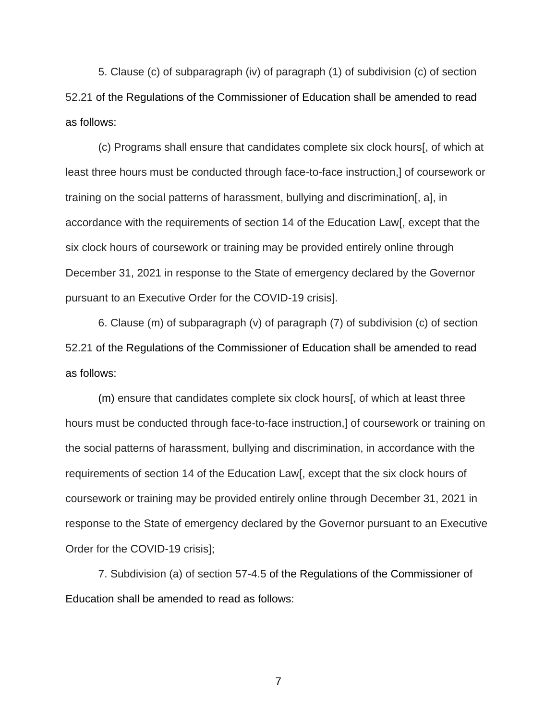5. Clause (c) of subparagraph (iv) of paragraph (1) of subdivision (c) of section 52.21 of the Regulations of the Commissioner of Education shall be amended to read as follows:

(c) Programs shall ensure that candidates complete six clock hours[, of which at least three hours must be conducted through face-to-face instruction,] of coursework or training on the social patterns of harassment, bullying and discrimination[, a], in accordance with the requirements of section 14 of the Education Law[, except that the six clock hours of coursework or training may be provided entirely online through December 31, 2021 in response to the State of emergency declared by the Governor pursuant to an Executive Order for the COVID-19 crisis].

6. Clause (m) of subparagraph (v) of paragraph (7) of subdivision (c) of section 52.21 of the Regulations of the Commissioner of Education shall be amended to read as follows:

(m) ensure that candidates complete six clock hours[, of which at least three hours must be conducted through face-to-face instruction,] of coursework or training on the social patterns of harassment, bullying and discrimination, in accordance with the requirements of section 14 of the Education Law[, except that the six clock hours of coursework or training may be provided entirely online through December 31, 2021 in response to the State of emergency declared by the Governor pursuant to an Executive Order for the COVID-19 crisis];

7. Subdivision (a) of section 57-4.5 of the Regulations of the Commissioner of Education shall be amended to read as follows: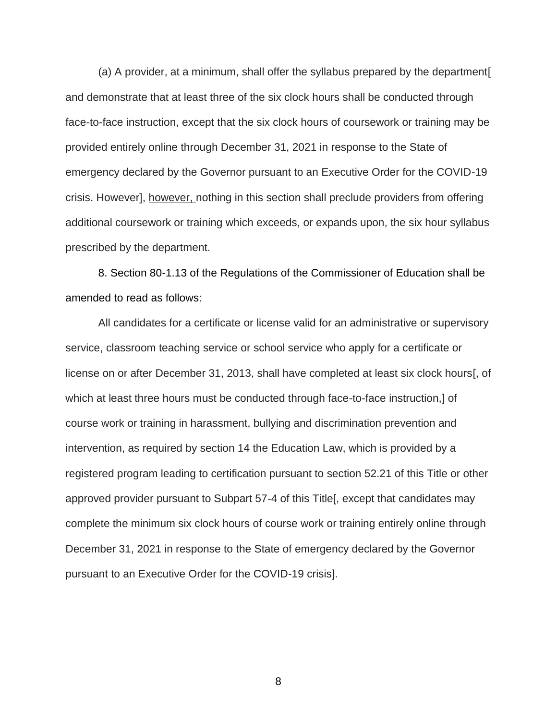(a) A provider, at a minimum, shall offer the syllabus prepared by the department[ and demonstrate that at least three of the six clock hours shall be conducted through face-to-face instruction, except that the six clock hours of coursework or training may be provided entirely online through December 31, 2021 in response to the State of emergency declared by the Governor pursuant to an Executive Order for the COVID-19 crisis. However], however, nothing in this section shall preclude providers from offering additional coursework or training which exceeds, or expands upon, the six hour syllabus prescribed by the department.

8. Section 80-1.13 of the Regulations of the Commissioner of Education shall be amended to read as follows:

All candidates for a certificate or license valid for an administrative or supervisory service, classroom teaching service or school service who apply for a certificate or license on or after December 31, 2013, shall have completed at least six clock hours[, of which at least three hours must be conducted through face-to-face instruction,] of course work or training in harassment, bullying and discrimination prevention and intervention, as required by section 14 the Education Law, which is provided by a registered program leading to certification pursuant to section 52.21 of this Title or other approved provider pursuant to Subpart 57-4 of this Title[, except that candidates may complete the minimum six clock hours of course work or training entirely online through December 31, 2021 in response to the State of emergency declared by the Governor pursuant to an Executive Order for the COVID-19 crisis].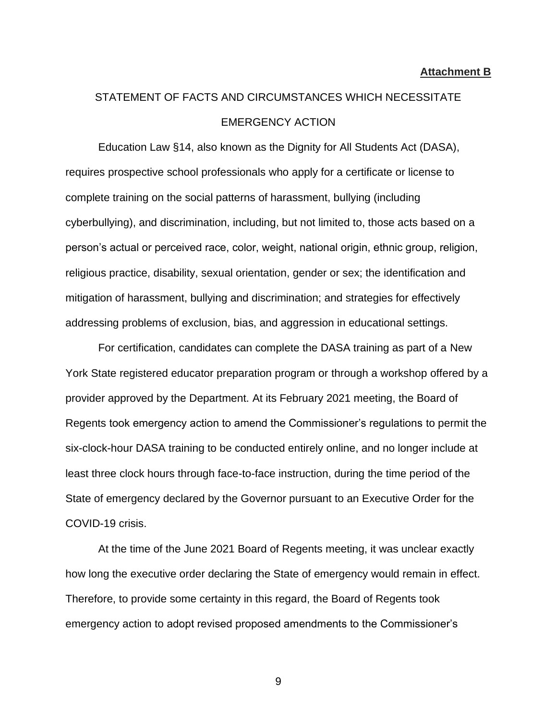#### **Attachment B**

# STATEMENT OF FACTS AND CIRCUMSTANCES WHICH NECESSITATE EMERGENCY ACTION

Education Law §14, also known as the Dignity for All Students Act (DASA), requires prospective school professionals who apply for a certificate or license to complete training on the social patterns of harassment, bullying (including cyberbullying), and discrimination, including, but not limited to, those acts based on a person's actual or perceived race, color, weight, national origin, ethnic group, religion, religious practice, disability, sexual orientation, gender or sex; the identification and mitigation of harassment, bullying and discrimination; and strategies for effectively addressing problems of exclusion, bias, and aggression in educational settings.

For certification, candidates can complete the DASA training as part of a New York State registered educator preparation program or through a workshop offered by a provider approved by the Department. At its February 2021 meeting, the Board of Regents took emergency action to amend the Commissioner's regulations to permit the six-clock-hour DASA training to be conducted entirely online, and no longer include at least three clock hours through face-to-face instruction, during the time period of the State of emergency declared by the Governor pursuant to an Executive Order for the COVID-19 crisis.

At the time of the June 2021 Board of Regents meeting, it was unclear exactly how long the executive order declaring the State of emergency would remain in effect. Therefore, to provide some certainty in this regard, the Board of Regents took emergency action to adopt revised proposed amendments to the Commissioner's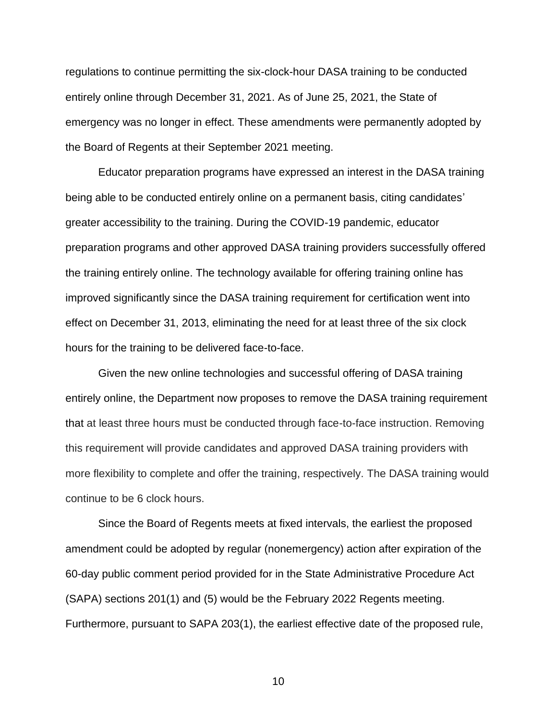regulations to continue permitting the six-clock-hour DASA training to be conducted entirely online through December 31, 2021. As of June 25, 2021, the State of emergency was no longer in effect. These amendments were permanently adopted by the Board of Regents at their September 2021 meeting.

Educator preparation programs have expressed an interest in the DASA training being able to be conducted entirely online on a permanent basis, citing candidates' greater accessibility to the training. During the COVID-19 pandemic, educator preparation programs and other approved DASA training providers successfully offered the training entirely online. The technology available for offering training online has improved significantly since the DASA training requirement for certification went into effect on December 31, 2013, eliminating the need for at least three of the six clock hours for the training to be delivered face-to-face.

Given the new online technologies and successful offering of DASA training entirely online, the Department now proposes to remove the DASA training requirement that at least three hours must be conducted through face-to-face instruction. Removing this requirement will provide candidates and approved DASA training providers with more flexibility to complete and offer the training, respectively. The DASA training would continue to be 6 clock hours.

Since the Board of Regents meets at fixed intervals, the earliest the proposed amendment could be adopted by regular (nonemergency) action after expiration of the 60-day public comment period provided for in the State Administrative Procedure Act (SAPA) sections 201(1) and (5) would be the February 2022 Regents meeting. Furthermore, pursuant to SAPA 203(1), the earliest effective date of the proposed rule,